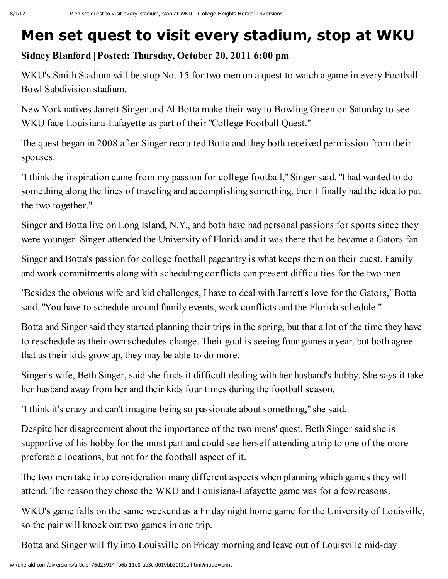## Men set quest to visit every stadium, stop at WKU

## Sidney Blanford | Posted: Thursday, October 20, 2011 6:00 pm

WKU's Smith Stadium will be stop No. 15 for two men on a quest to watch a game in every Football Bowl Subdivision stadium.

New York natives Jarrett Singer and Al Botta make their way to Bowling Green on Saturday to see WKU face Louisiana-Lafayette as part of their "College Football Quest."

The quest began in 2008 after Singer recruited Botta and they both received permission from their spouses.

"I think the inspiration came from my passion for college football,"Singer said. "I had wanted to do something along the lines of traveling and accomplishing something, then I finally had the idea to put the two together."

Singer and Botta live on Long Island, N.Y., and both have had personal passions for sports since they were younger. Singer attended the University of Florida and it was there that he became a Gators fan.

Singer and Botta's passion for college football pageantry is what keeps them on their quest. Family and work commitments along with scheduling conflicts can present difficulties for the two men.

"Besides the obvious wife and kid challenges, I have to deal with Jarrett's love for the Gators,"Botta said. "You have to schedule around family events, work conflicts and the Florida schedule."

Botta and Singer said they started planning their trips in the spring, but that a lot of the time they have to reschedule as their own schedules change. Their goal is seeing four games a year, but both agree that as their kids grow up, they may be able to do more.

Singer's wife, Beth Singer, said she finds it difficult dealing with her husband's hobby. She says it take her husband away from her and their kids four times during the football season.

"I think it's crazy and can't imagine being so passionate about something," she said.

Despite her disagreement about the importance of the two mens' quest, Beth Singer said she is supportive of his hobby for the most part and could see herself attending a trip to one of the more preferable locations, but not for the football aspect of it.

The two men take into consideration many different aspects when planning which games they will attend. The reason they chose the WKU and Louisiana-Lafayette game was for a few reasons.

WKU's game falls on the same weekend as a Friday night home game for the University of Louisville, so the pair will knock out two games in one trip.

Botta and Singer will fly into Louisville on Friday morning and leave out of Louisville mid-day